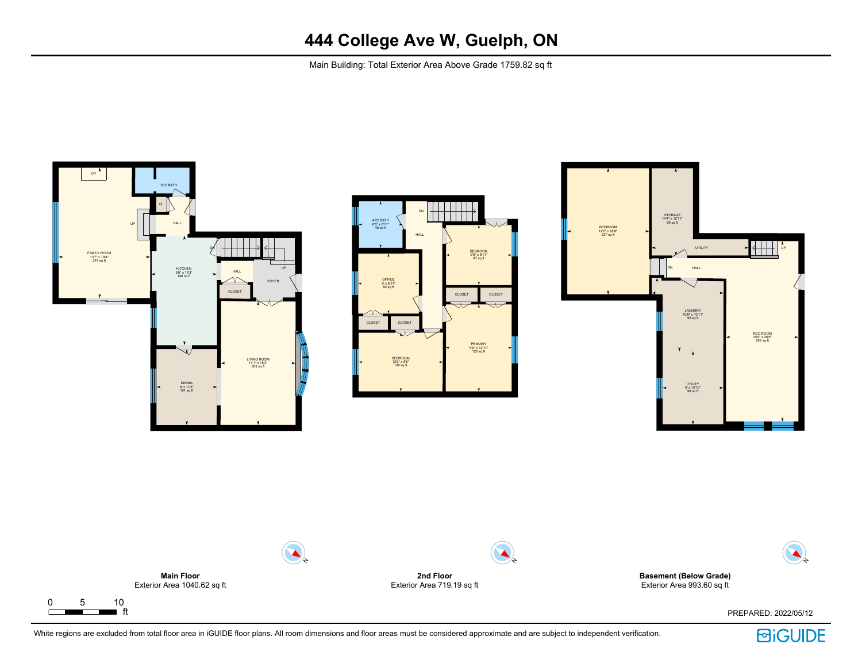Main Building: Total Exterior Area Above Grade 1759.82 sq ft









White regions are excluded from total floor area in iGUIDE floor plans. All room dimensions and floor areas must be considered approximate and are subject to independent verification.

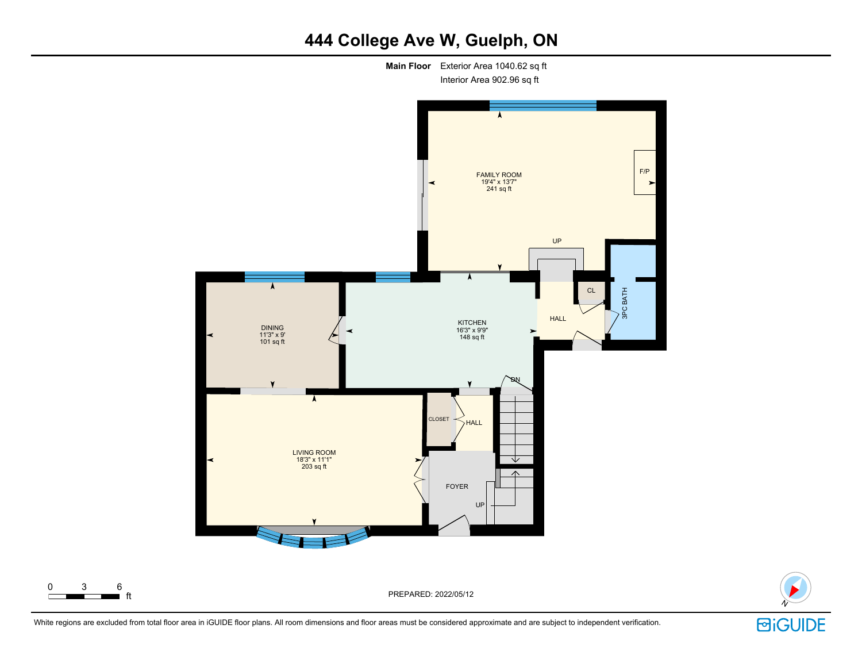





White regions are excluded from total floor area in iGUIDE floor plans. All room dimensions and floor areas must be considered approximate and are subject to independent verification.

 $\begin{array}{ccc} 0 & 3 & 6 \\ \hline \end{array}$  ft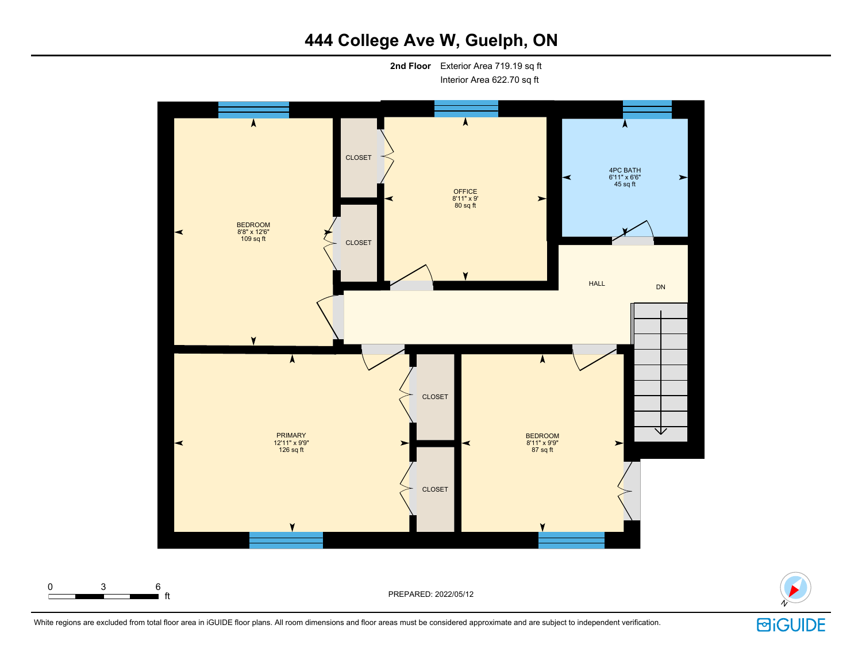**2nd Floor** Exterior Area 719.19 sq ft Interior Area 622.70 sq ft





White regions are excluded from total floor area in iGUIDE floor plans. All room dimensions and floor areas must be considered approximate and are subject to independent verification.

# **固iGUIDE**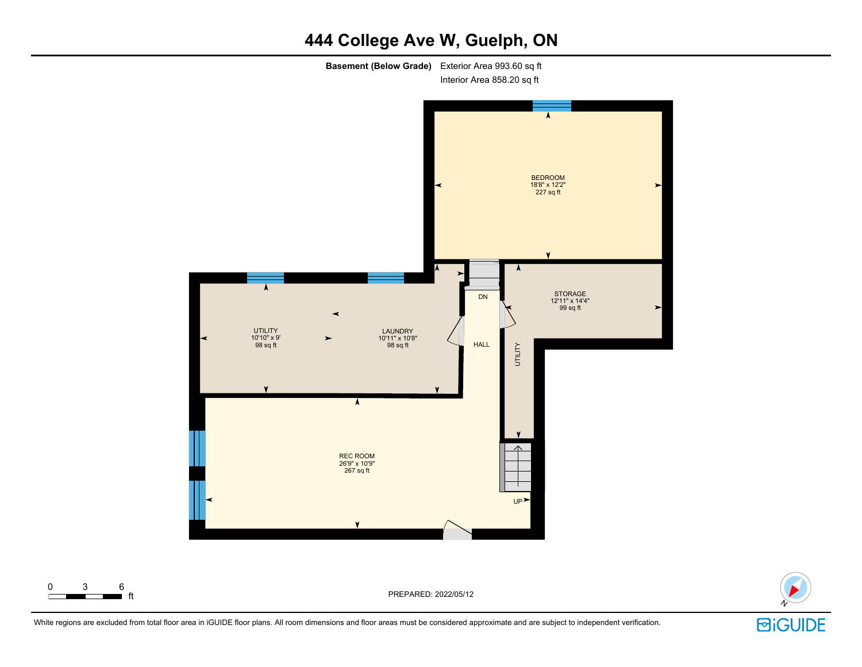**Basement (Below Grade)** Exterior Area 993.60 sq ft Interior Area 858.20 sq ft



PREPARED: 2022/05/12



White regions are excluded from total floor area in iGUIDE floor plans. All room dimensions and floor areas must be considered approximate and are subject to independent verification.

 $\begin{array}{ccc} 0 & 3 & 6 \\ \hline \end{array}$  ft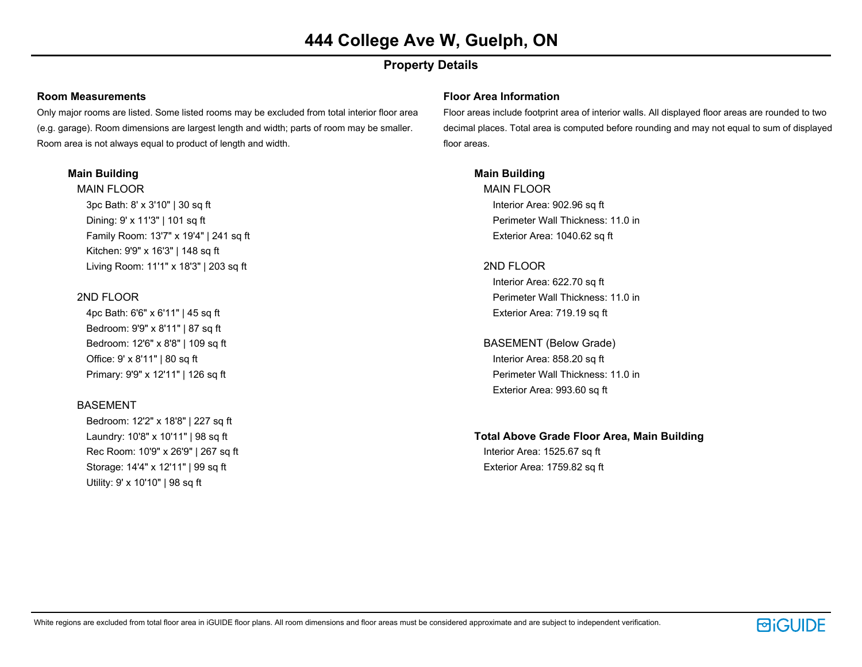## **Property Details**

#### **Room Measurements**

Only major rooms are listed. Some listed rooms may be excluded from total interior floor area (e.g. garage). Room dimensions are largest length and width; parts of room may be smaller. Room area is not always equal to product of length and width.

#### **Main Building**

MAIN FLOOR 3pc Bath: 8' x 3'10" | 30 sq ft Dining: 9' x 11'3" | 101 sq ft Family Room: 13'7" x 19'4" | 241 sq ft Kitchen: 9'9" x 16'3" | 148 sq ft Living Room: 11'1" x 18'3" | 203 sq ft

#### 2ND FLOOR

4pc Bath: 6'6" x 6'11" | 45 sq ft Bedroom: 9'9" x 8'11" | 87 sq ft Bedroom: 12'6" x 8'8" | 109 sq ft Office: 9' x 8'11" | 80 sq ft Primary: 9'9" x 12'11" | 126 sq ft

#### BASEMENT

Bedroom: 12'2" x 18'8" | 227 sq ft Laundry: 10'8" x 10'11" | 98 sq ft Rec Room: 10'9" x 26'9" | 267 sq ft Storage: 14'4" x 12'11" | 99 sq ft Utility: 9' x 10'10" | 98 sq ft

#### **Floor Area Information**

Floor areas include footprint area of interior walls. All displayed floor areas are rounded to two decimal places. Total area is computed before rounding and may not equal to sum of displayed floor areas.

#### **Main Building**

MAIN FLOOR Interior Area: 902.96 sq ft Perimeter Wall Thickness: 11.0 in Exterior Area: 1040.62 sq ft

#### 2ND FLOOR

Interior Area: 622.70 sq ft Perimeter Wall Thickness: 11.0 in Exterior Area: 719.19 sq ft

## BASEMENT (Below Grade)

Interior Area: 858.20 sq ft Perimeter Wall Thickness: 11.0 in Exterior Area: 993.60 sq ft

## **Total Above Grade Floor Area, Main Building**

Interior Area: 1525.67 sq ft Exterior Area: 1759.82 sq ft